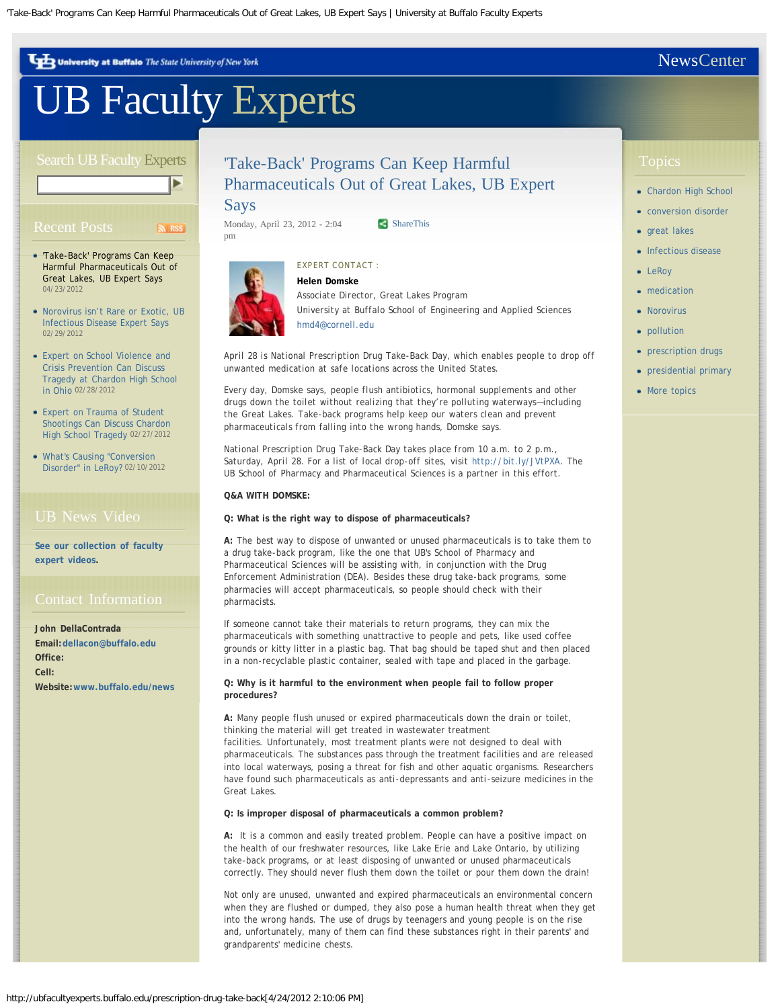<span id="page-0-0"></span>University at Buffalo The State University of New York

## [UB Faculty Experts](http://ubfacultyexperts.buffalo.edu/)

#### Search UB Faculty Experts

# $S<sub>x</sub>$

- 04/23/2012 ['Take-Back' Programs Can Keep](#page-0-0) [Harmful Pharmaceuticals Out of](#page-0-0) [Great Lakes, UB Expert Says](#page-0-0)
- 02/29/2012 [Norovirus isn't Rare or Exotic, UB](http://ubfacultyexperts.buffalo.edu/tip/158) [Infectious Disease Expert Says](http://ubfacultyexperts.buffalo.edu/tip/158)
- [in Ohio](http://ubfacultyexperts.buffalo.edu/expert-on-school-violence-can-discuss-charndon-high-school-tragedy) 02/28/2012 [Expert on School Violence and](http://ubfacultyexperts.buffalo.edu/expert-on-school-violence-can-discuss-charndon-high-school-tragedy) [Crisis Prevention Can Discuss](http://ubfacultyexperts.buffalo.edu/expert-on-school-violence-can-discuss-charndon-high-school-tragedy) [Tragedy at Chardon High School](http://ubfacultyexperts.buffalo.edu/expert-on-school-violence-can-discuss-charndon-high-school-tragedy)
- [High School Tragedy](http://ubfacultyexperts.buffalo.edu/expert-can-discuss-chardon-high-school-tragedy) 02/27/2012 [Expert on Trauma of Student](http://ubfacultyexperts.buffalo.edu/expert-can-discuss-chardon-high-school-tragedy) [Shootings Can Discuss Chardon](http://ubfacultyexperts.buffalo.edu/expert-can-discuss-chardon-high-school-tragedy)
- [Disorder" in LeRoy?](http://ubfacultyexperts.buffalo.edu/whats-causing-conversion-disorder-in-leroy) 02/10/2012 [What's Causing "Conversion](http://ubfacultyexperts.buffalo.edu/whats-causing-conversion-disorder-in-leroy)

**. [expert videos](http://www.youtube.com/playlist?list=PL344C1736211FCFF1) [See our collection of faculty](http://www.youtube.com/playlist?list=PL344C1736211FCFF1)**

**John DellaContrada Email: [dellacon@buffalo.edu](mailto:dellacon@buffalo.edu) Office: Cell: Website: [www.buffalo.edu/news](http://www.buffalo.edu/news)**

## ['Take-Back' Programs Can Keep Harmful](#page-0-0) [Pharmaceuticals Out of Great Lakes, UB Expert](#page-0-0)

#### [Says](#page-0-0)

Monday, April 23, 2012 - 2:04 pm

[ShareThis](javascript:void(0))



### *Associate Director, Great Lakes Program University at Buffalo School of Engineering and Applied Sciences [hmd4@cornell.edu](mailto:hmd4@cornell.edu)*

*April 28 is National Prescription Drug Take-Back Day, which enables people to drop off unwanted medication at safe locations across the United States.*

*Every day, Domske says, people flush antibiotics, hormonal supplements and other drugs down the toilet without realizing that they're polluting waterways—including the Great Lakes. Take-back programs help keep our waters clean and prevent pharmaceuticals from falling into the wrong hands, Domske says.*

*National Prescription Drug Take-Back Day takes place from 10 a.m. to 2 p.m., Saturday, April 28. For a list of local drop-off sites, visit <http://bit.ly/JVtPXA>. The UB School of Pharmacy and Pharmaceutical Sciences is a partner in this effort.*

#### **Q&A WITH DOMSKE:**

**Q: What is the right way to dispose of pharmaceuticals?**

**A:** The best way to dispose of unwanted or unused pharmaceuticals is to take them to a drug take-back program, like the one that UB's School of Pharmacy and Pharmaceutical Sciences will be assisting with, in conjunction with the Drug Enforcement Administration (DEA). Besides these drug take-back programs, some pharmacies will accept pharmaceuticals, so people should check with their pharmacists.

If someone cannot take their materials to return programs, they can mix the pharmaceuticals with something unattractive to people and pets, like used coffee grounds or kitty litter in a plastic bag. That bag should be taped shut and then placed in a non-recyclable plastic container, sealed with tape and placed in the garbage.

**Q: Why is it harmful to the environment when people fail to follow proper procedures?**

**A:** Many people flush unused or expired pharmaceuticals down the drain or toilet, thinking the material will get treated in wastewater treatment facilities. Unfortunately, most treatment plants were not designed to deal with pharmaceuticals. The substances pass through the treatment facilities and are released into local waterways, posing a threat for fish and other aquatic organisms. Researchers have found such pharmaceuticals as anti-depressants and anti-seizure medicines in the Great Lakes.

#### **Q: Is improper disposal of pharmaceuticals a common problem?**

**A:** It is a common and easily treated problem. People can have a positive impact on the health of our freshwater resources, like Lake Erie and Lake Ontario, by utilizing take-back programs, or at least disposing of unwanted or unused pharmaceuticals correctly. They should never flush them down the toilet or pour them down the drain!

Not only are unused, unwanted and expired pharmaceuticals an environmental concern when they are flushed or dumped, they also pose a human health threat when they get into the wrong hands. The use of drugs by teenagers and young people is on the rise and, unfortunately, many of them can find these substances right in their parents' and grandparents' medicine chests.

- [Chardon High School](http://ubfacultyexperts.buffalo.edu/topics/chardon-high-school)
- **[conversion disorder](http://ubfacultyexperts.buffalo.edu/topics/conversion-disorder)**
- [great lakes](http://ubfacultyexperts.buffalo.edu/topics/great-lakes)
- [Infectious disease](http://ubfacultyexperts.buffalo.edu/topics/infectious-disease)
- [LeRoy](http://ubfacultyexperts.buffalo.edu/topics/leroy)
- [medication](http://ubfacultyexperts.buffalo.edu/topics/medication) [Norovirus](http://ubfacultyexperts.buffalo.edu/topics/norovirus)
- [pollution](http://ubfacultyexperts.buffalo.edu/topics/pollution)
- [prescription drugs](http://ubfacultyexperts.buffalo.edu/topics/prescription-drugs)
- [presidential primary](http://ubfacultyexperts.buffalo.edu/topics/presidential-primary)
- [More topics](http://ubfacultyexperts.buffalo.edu/topics)

## **[NewsCenter](http://www.buffalo.edu/news)**